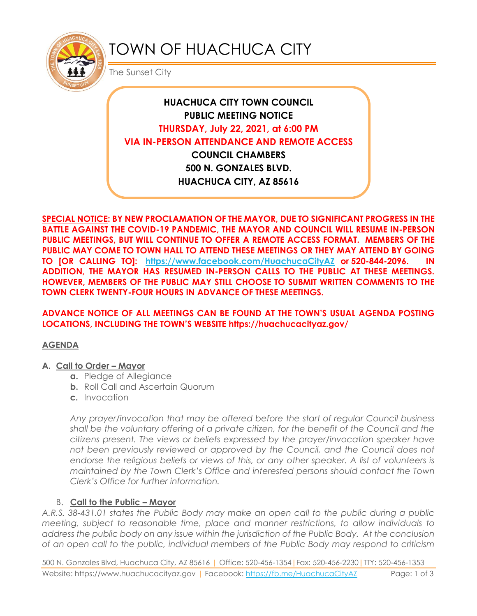

# TOWN OF HUACHUCA CITY

The Sunset City

# **HUACHUCA CITY TOWN COUNCIL PUBLIC MEETING NOTICE THURSDAY, July 22, 2021, at 6:00 PM VIA IN-PERSON ATTENDANCE AND REMOTE ACCESS COUNCIL CHAMBERS 500 N. GONZALES BLVD.**

**HUACHUCA CITY, AZ 85616**

**SPECIAL NOTICE: BY NEW PROCLAMATION OF THE MAYOR, DUE TO SIGNIFICANT PROGRESS IN THE BATTLE AGAINST THE COVID-19 PANDEMIC, THE MAYOR AND COUNCIL WILL RESUME IN-PERSON PUBLIC MEETINGS, BUT WILL CONTINUE TO OFFER A REMOTE ACCESS FORMAT. MEMBERS OF THE PUBLIC MAY COME TO TOWN HALL TO ATTEND THESE MEETINGS OR THEY MAY ATTEND BY GOING TO [OR CALLING TO]: <https://www.facebook.com/HuachucaCityAZ> or 520-844-2096. IN ADDITION, THE MAYOR HAS RESUMED IN-PERSON CALLS TO THE PUBLIC AT THESE MEETINGS. HOWEVER, MEMBERS OF THE PUBLIC MAY STILL CHOOSE TO SUBMIT WRITTEN COMMENTS TO THE TOWN CLERK TWENTY-FOUR HOURS IN ADVANCE OF THESE MEETINGS.** 

#### **ADVANCE NOTICE OF ALL MEETINGS CAN BE FOUND AT THE TOWN'S USUAL AGENDA POSTING LOCATIONS, INCLUDING THE TOWN'S WEBSITE https://huachucacityaz.gov/**

## **AGENDA**

#### **A. Call to Order – Mayor**

- **a.** Pledge of Allegiance
- **b.** Roll Call and Ascertain Quorum
- **c.** Invocation

*Any prayer/invocation that may be offered before the start of regular Council business shall be the voluntary offering of a private citizen, for the benefit of the Council and the citizens present. The views or beliefs expressed by the prayer/invocation speaker have*  not been previously reviewed or approved by the Council, and the Council does not endorse the religious beliefs or views of this, or any other speaker. A list of volunteers is *maintained by the Town Clerk's Office and interested persons should contact the Town Clerk's Office for further information.*

## B. **Call to the Public – Mayor**

*A.R.S. 38-431.01 states the Public Body may make an open call to the public during a public meeting, subject to reasonable time, place and manner restrictions, to allow individuals to address the public body on any issue within the jurisdiction of the Public Body. At the conclusion of an open call to the public, individual members of the Public Body may respond to criticism* 

500 N. Gonzales Blvd, Huachuca City, AZ 85616 | Office: 520-456-1354|Fax: 520-456-2230|TTY: 520-456-1353 Website: https://www.huachucacityaz.gov | Facebook:<https://fb.me/HuachucaCityAZ> Page: 1 of 3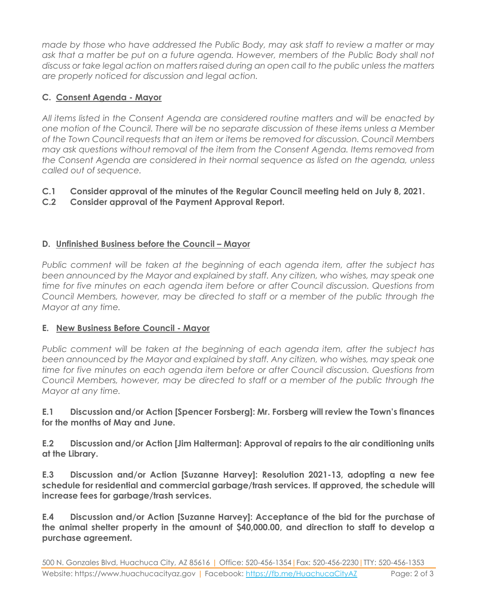*made by those who have addressed the Public Body, may ask staff to review a matter or may ask that a matter be put on a future agenda. However, members of the Public Body shall not discuss or take legal action on matters raised during an open call to the public unless the matters are properly noticed for discussion and legal action.*

## **C. Consent Agenda - Mayor**

*All items listed in the Consent Agenda are considered routine matters and will be enacted by one motion of the Council. There will be no separate discussion of these items unless a Member of the Town Council requests that an item or items be removed for discussion. Council Members may ask questions without removal of the item from the Consent Agenda. Items removed from the Consent Agenda are considered in their normal sequence as listed on the agenda, unless called out of sequence.*

## **C.1 Consider approval of the minutes of the Regular Council meeting held on July 8, 2021.**

#### **C.2 Consider approval of the Payment Approval Report.**

#### **D.** Unfinished Business before the Council – Mayor

*Public comment will be taken at the beginning of each agenda item, after the subject has been announced by the Mayor and explained by staff. Any citizen, who wishes, may speak one time for five minutes on each agenda item before or after Council discussion. Questions from Council Members, however, may be directed to staff or a member of the public through the Mayor at any time.*

#### **E. New Business Before Council - Mayor**

*Public comment will be taken at the beginning of each agenda item, after the subject has been announced by the Mayor and explained by staff. Any citizen, who wishes, may speak one time for five minutes on each agenda item before or after Council discussion. Questions from Council Members, however, may be directed to staff or a member of the public through the Mayor at any time.* 

**E.1 Discussion and/or Action [Spencer Forsberg]: Mr. Forsberg will review the Town's finances for the months of May and June.**

**E.2 Discussion and/or Action [Jim Halterman]: Approval of repairs to the air conditioning units at the Library.**

**E.3 Discussion and/or Action [Suzanne Harvey]: Resolution 2021-13, adopting a new fee schedule for residential and commercial garbage/trash services. If approved, the schedule will increase fees for garbage/trash services.** 

**E.4 Discussion and/or Action [Suzanne Harvey]: Acceptance of the bid for the purchase of the animal shelter property in the amount of \$40,000.00, and direction to staff to develop a purchase agreement.**